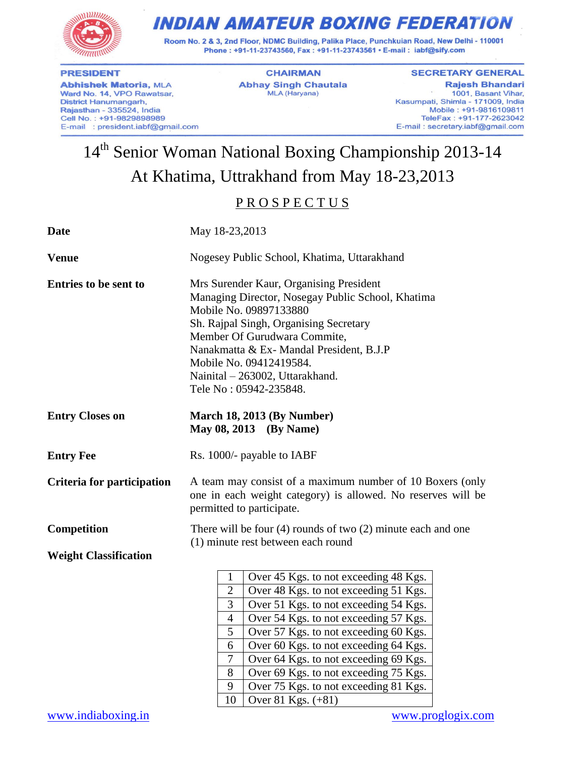

### **INDIAN AMATEUR BOXING FEDERATION**

Room No. 2 & 3, 2nd Floor, NDMC Building, Palika Place, Punchkuian Road, New Delhi - 110001 Phone: +91-11-23743560, Fax: +91-11-23743561 • E-mail: iabf@sify.com

**PRESIDENT** 

**Abhishek Matoria, MLA** Ward No. 14, VPO Rawatsar, **District Hanumangarh.** Rajasthan - 335524, India Cell No.: +91-9829898989 E-mail : president.iabf@gmail.com

**CHAIRMAN Abhay Singh Chautala** MLA (Haryana)

**SECRETARY GENERAL Rajesh Bhandari** 1001, Basant Vihar, Kasumpati, Shimla - 171009, India Mobile: +91-9816109811 TeleFax: +91-177-2623042 E-mail: secretary.iabf@gmail.com

## 14<sup>th</sup> Senior Woman National Boxing Championship 2013-14 At Khatima, Uttrakhand from May 18-23,2013

#### PROSPECTUS

| <b>Date</b>                  | May 18-23,2013                                                                                                                                                                                                                                                                                                                      |  |  |
|------------------------------|-------------------------------------------------------------------------------------------------------------------------------------------------------------------------------------------------------------------------------------------------------------------------------------------------------------------------------------|--|--|
| <b>Venue</b>                 | Nogesey Public School, Khatima, Uttarakhand                                                                                                                                                                                                                                                                                         |  |  |
| <b>Entries to be sent to</b> | Mrs Surender Kaur, Organising President<br>Managing Director, Nosegay Public School, Khatima<br>Mobile No. 09897133880<br>Sh. Rajpal Singh, Organising Secretary<br>Member Of Gurudwara Commite,<br>Nanakmatta & Ex-Mandal President, B.J.P<br>Mobile No. 09412419584.<br>Nainital - 263002, Uttarakhand.<br>Tele No: 05942-235848. |  |  |
| <b>Entry Closes on</b>       | March 18, 2013 (By Number)<br>May 08, 2013 (By Name)                                                                                                                                                                                                                                                                                |  |  |
| <b>Entry Fee</b>             | Rs. 1000/- payable to IABF                                                                                                                                                                                                                                                                                                          |  |  |
| Criteria for participation   | A team may consist of a maximum number of 10 Boxers (only<br>one in each weight category) is allowed. No reserves will be<br>permitted to participate.                                                                                                                                                                              |  |  |
| <b>Competition</b>           | There will be four $(4)$ rounds of two $(2)$ minute each and one                                                                                                                                                                                                                                                                    |  |  |
| <b>Weight Classification</b> | (1) minute rest between each round                                                                                                                                                                                                                                                                                                  |  |  |
|                              | Over 45 Kgs. to not exceeding 48 Kgs.<br>1<br>$\overline{2}$<br>Over 48 Kgs. to not exceeding 51 Kgs.<br>3<br>Over 51 Kgs. to not exceeding 54 Kgs.                                                                                                                                                                                 |  |  |

4 Over 54 Kgs. to not exceeding 57 Kgs. 5 Over 57 Kgs. to not exceeding 60 Kgs. 6 | Over 60 Kgs. to not exceeding 64 Kgs. 7 Over 64 Kgs. to not exceeding 69 Kgs. 8 Over 69 Kgs. to not exceeding 75 Kgs. 9 Over 75 Kgs. to not exceeding 81 Kgs.

10 Over 81 Kgs.  $(+81)$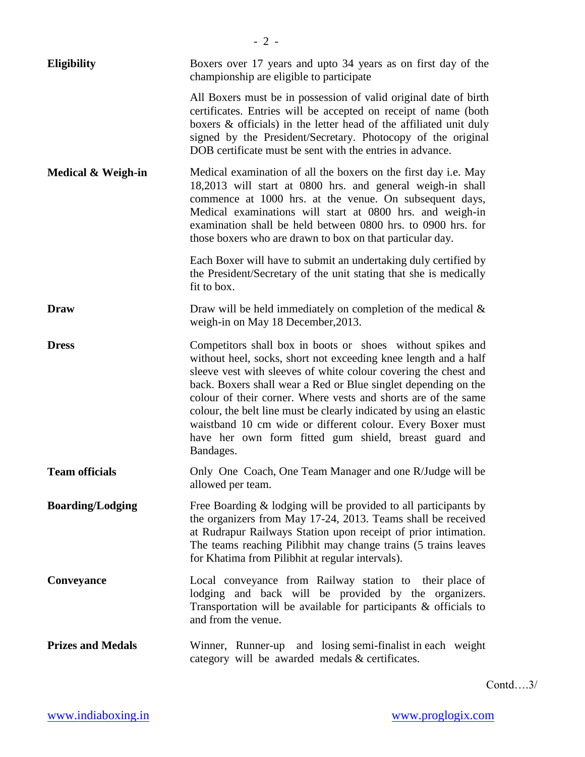| <b>Eligibility</b>       | Boxers over 17 years and upto 34 years as on first day of the<br>championship are eligible to participate                                                                                                                                                                                                                                                                                                                                                                                                                                       |  |
|--------------------------|-------------------------------------------------------------------------------------------------------------------------------------------------------------------------------------------------------------------------------------------------------------------------------------------------------------------------------------------------------------------------------------------------------------------------------------------------------------------------------------------------------------------------------------------------|--|
|                          | All Boxers must be in possession of valid original date of birth<br>certificates. Entries will be accepted on receipt of name (both<br>boxers & officials) in the letter head of the affiliated unit duly<br>signed by the President/Secretary. Photocopy of the original<br>DOB certificate must be sent with the entries in advance.                                                                                                                                                                                                          |  |
| Medical & Weigh-in       | Medical examination of all the boxers on the first day i.e. May<br>18,2013 will start at 0800 hrs. and general weigh-in shall<br>commence at 1000 hrs. at the venue. On subsequent days,<br>Medical examinations will start at 0800 hrs. and weigh-in<br>examination shall be held between 0800 hrs. to 0900 hrs. for<br>those boxers who are drawn to box on that particular day.                                                                                                                                                              |  |
|                          | Each Boxer will have to submit an undertaking duly certified by<br>the President/Secretary of the unit stating that she is medically<br>fit to box.                                                                                                                                                                                                                                                                                                                                                                                             |  |
| <b>Draw</b>              | Draw will be held immediately on completion of the medical $\&$<br>weigh-in on May 18 December, 2013.                                                                                                                                                                                                                                                                                                                                                                                                                                           |  |
| <b>Dress</b>             | Competitors shall box in boots or shoes without spikes and<br>without heel, socks, short not exceeding knee length and a half<br>sleeve vest with sleeves of white colour covering the chest and<br>back. Boxers shall wear a Red or Blue singlet depending on the<br>colour of their corner. Where vests and shorts are of the same<br>colour, the belt line must be clearly indicated by using an elastic<br>waistband 10 cm wide or different colour. Every Boxer must<br>have her own form fitted gum shield, breast guard and<br>Bandages. |  |
| <b>Team officials</b>    | Only One Coach, One Team Manager and one R/Judge will be<br>allowed per team.                                                                                                                                                                                                                                                                                                                                                                                                                                                                   |  |
| <b>Boarding/Lodging</b>  | Free Boarding & lodging will be provided to all participants by<br>the organizers from May 17-24, 2013. Teams shall be received<br>at Rudrapur Railways Station upon receipt of prior intimation.<br>The teams reaching Pilibhit may change trains (5 trains leaves<br>for Khatima from Pilibhit at regular intervals).                                                                                                                                                                                                                         |  |
| <b>Conveyance</b>        | Local conveyance from Railway station to their place of<br>lodging and back will be provided by the organizers.<br>Transportation will be available for participants $\&$ officials to<br>and from the venue.                                                                                                                                                                                                                                                                                                                                   |  |
| <b>Prizes and Medals</b> | Winner, Runner-up and losing semi-finalist in each weight<br>category will be awarded medals & certificates.                                                                                                                                                                                                                                                                                                                                                                                                                                    |  |

Contd….3/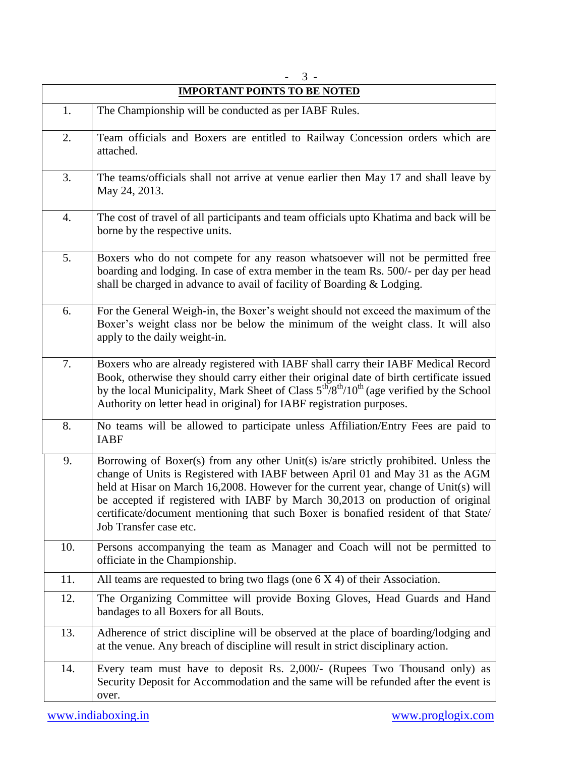|                                     | $3 -$                                                                                                                                                                                                                                                                                                                                                                                                                                                            |  |  |  |
|-------------------------------------|------------------------------------------------------------------------------------------------------------------------------------------------------------------------------------------------------------------------------------------------------------------------------------------------------------------------------------------------------------------------------------------------------------------------------------------------------------------|--|--|--|
| <b>IMPORTANT POINTS TO BE NOTED</b> |                                                                                                                                                                                                                                                                                                                                                                                                                                                                  |  |  |  |
| 1.                                  | The Championship will be conducted as per IABF Rules.                                                                                                                                                                                                                                                                                                                                                                                                            |  |  |  |
| 2.                                  | Team officials and Boxers are entitled to Railway Concession orders which are<br>attached.                                                                                                                                                                                                                                                                                                                                                                       |  |  |  |
| 3.                                  | The teams/officials shall not arrive at venue earlier then May 17 and shall leave by<br>May 24, 2013.                                                                                                                                                                                                                                                                                                                                                            |  |  |  |
| $\overline{4}$ .                    | The cost of travel of all participants and team officials upto Khatima and back will be<br>borne by the respective units.                                                                                                                                                                                                                                                                                                                                        |  |  |  |
| 5.                                  | Boxers who do not compete for any reason whatsoever will not be permitted free<br>boarding and lodging. In case of extra member in the team Rs. 500/- per day per head<br>shall be charged in advance to avail of facility of Boarding & Lodging.                                                                                                                                                                                                                |  |  |  |
| 6.                                  | For the General Weigh-in, the Boxer's weight should not exceed the maximum of the<br>Boxer's weight class nor be below the minimum of the weight class. It will also<br>apply to the daily weight-in.                                                                                                                                                                                                                                                            |  |  |  |
| 7.                                  | Boxers who are already registered with IABF shall carry their IABF Medical Record<br>Book, otherwise they should carry either their original date of birth certificate issued<br>by the local Municipality, Mark Sheet of Class $5^{th}/8^{th}/10^{th}$ (age verified by the School<br>Authority on letter head in original) for IABF registration purposes.                                                                                                     |  |  |  |
| 8.                                  | No teams will be allowed to participate unless Affiliation/Entry Fees are paid to<br><b>IABF</b>                                                                                                                                                                                                                                                                                                                                                                 |  |  |  |
| 9.                                  | Borrowing of Boxer(s) from any other Unit(s) is/are strictly prohibited. Unless the<br>change of Units is Registered with IABF between April 01 and May 31 as the AGM<br>held at Hisar on March 16,2008. However for the current year, change of Unit(s) will<br>be accepted if registered with IABF by March 30,2013 on production of original<br>certificate/document mentioning that such Boxer is bonafied resident of that State/<br>Job Transfer case etc. |  |  |  |
| 10.                                 | Persons accompanying the team as Manager and Coach will not be permitted to<br>officiate in the Championship.                                                                                                                                                                                                                                                                                                                                                    |  |  |  |
| 11.                                 | All teams are requested to bring two flags (one $6 \times 4$ ) of their Association.                                                                                                                                                                                                                                                                                                                                                                             |  |  |  |
| 12.                                 | The Organizing Committee will provide Boxing Gloves, Head Guards and Hand<br>bandages to all Boxers for all Bouts.                                                                                                                                                                                                                                                                                                                                               |  |  |  |
| 13.                                 | Adherence of strict discipline will be observed at the place of boarding/lodging and<br>at the venue. Any breach of discipline will result in strict disciplinary action.                                                                                                                                                                                                                                                                                        |  |  |  |
| 14.                                 | Every team must have to deposit Rs. 2,000/- (Rupees Two Thousand only) as<br>Security Deposit for Accommodation and the same will be refunded after the event is<br>over.                                                                                                                                                                                                                                                                                        |  |  |  |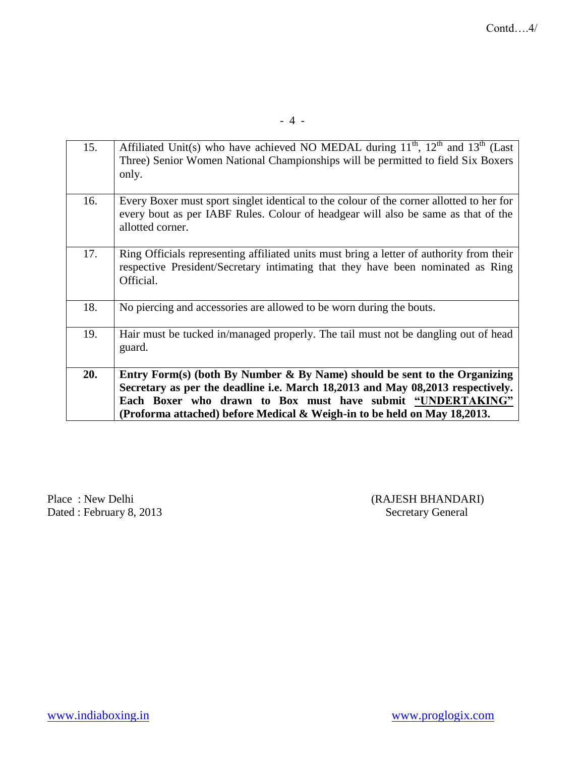| 15. | Affiliated Unit(s) who have achieved NO MEDAL during $11^{th}$ , $12^{th}$ and $13^{th}$ (Last<br>Three) Senior Women National Championships will be permitted to field Six Boxers<br>only.                                                                                                           |
|-----|-------------------------------------------------------------------------------------------------------------------------------------------------------------------------------------------------------------------------------------------------------------------------------------------------------|
| 16. | Every Boxer must sport singlet identical to the colour of the corner allotted to her for<br>every bout as per IABF Rules. Colour of headgear will also be same as that of the<br>allotted corner.                                                                                                     |
| 17. | Ring Officials representing affiliated units must bring a letter of authority from their<br>respective President/Secretary intimating that they have been nominated as Ring<br>Official.                                                                                                              |
| 18. | No piercing and accessories are allowed to be worn during the bouts.                                                                                                                                                                                                                                  |
| 19. | Hair must be tucked in/managed properly. The tail must not be dangling out of head<br>guard.                                                                                                                                                                                                          |
| 20. | Entry Form(s) (both By Number & By Name) should be sent to the Organizing<br>Secretary as per the deadline i.e. March 18,2013 and May 08,2013 respectively.<br>Each Boxer who drawn to Box must have submit "UNDERTAKING"<br>(Proforma attached) before Medical & Weigh-in to be held on May 18,2013. |

Place : New Delhi (RAJESH BHANDARI)<br>Dated : February 8, 2013 (Secretary General Dated : February 8, 2013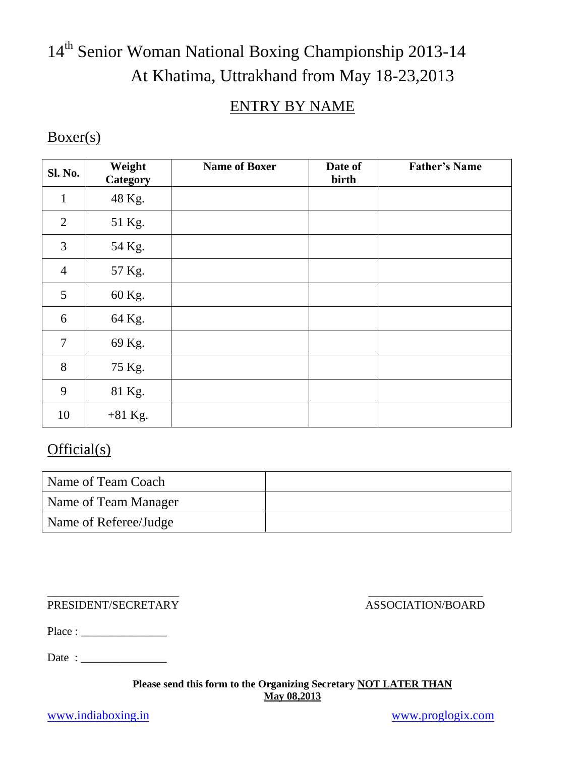# 14<sup>th</sup> Senior Woman National Boxing Championship 2013-14 At Khatima, Uttrakhand from May 18-23,2013

#### ENTRY BY NAME

Boxer(s)

| <b>Sl. No.</b> | Weight<br>Category | <b>Name of Boxer</b> | Date of<br>birth | <b>Father's Name</b> |
|----------------|--------------------|----------------------|------------------|----------------------|
| $\mathbf{1}$   | 48 Kg.             |                      |                  |                      |
| 2              | 51 Kg.             |                      |                  |                      |
| 3              | 54 Kg.             |                      |                  |                      |
| $\overline{4}$ | 57 Kg.             |                      |                  |                      |
| 5              | 60 Kg.             |                      |                  |                      |
| 6              | 64 Kg.             |                      |                  |                      |
| $\overline{7}$ | 69 Kg.             |                      |                  |                      |
| 8              | 75 Kg.             |                      |                  |                      |
| 9              | 81 Kg.             |                      |                  |                      |
| 10             | $+81$ Kg.          |                      |                  |                      |

### Official(s)

| Name of Team Coach    |  |
|-----------------------|--|
| Name of Team Manager  |  |
| Name of Referee/Judge |  |

 $\overline{\phantom{a}}$  , and the contract of the contract of the contract of the contract of the contract of the contract of the contract of the contract of the contract of the contract of the contract of the contract of the contrac PRESIDENT/SECRETARY ASSOCIATION/BOARD

| Place: |  |  |
|--------|--|--|
|        |  |  |
|        |  |  |

Date :

**Please send this form to the Organizing Secretary NOT LATER THAN May 08,2013**

www.indiaboxing.in www.proglogix.com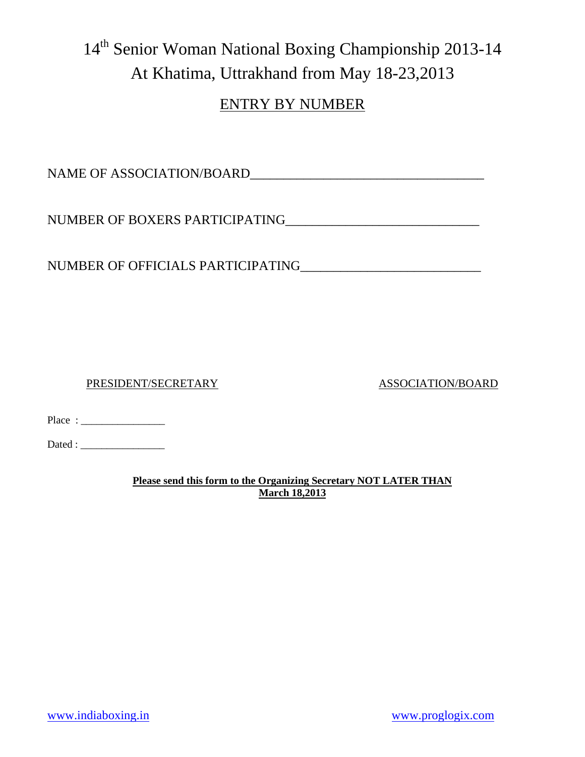## 14<sup>th</sup> Senior Woman National Boxing Championship 2013-14 At Khatima, Uttrakhand from May 18-23,2013

#### ENTRY BY NUMBER

NAME OF ASSOCIATION/BOARD\_\_\_\_\_\_\_\_\_\_\_\_\_\_\_\_\_\_\_\_\_\_\_\_\_\_\_\_\_\_\_\_\_\_\_

NUMBER OF BOXERS PARTICIPATING\_\_\_\_\_\_\_\_\_\_\_\_\_\_\_\_\_\_\_\_\_\_\_\_\_\_\_\_\_

NUMBER OF OFFICIALS PARTICIPATING\_\_\_\_\_\_\_\_\_\_\_\_\_\_\_\_\_\_\_\_\_\_\_\_\_\_\_

PRESIDENT/SECRETARY ASSOCIATION/BOARD

| Place |
|-------|
|-------|

Dated : \_\_\_\_\_\_\_\_\_\_\_\_\_\_\_\_

**Please send this form to the Organizing Secretary NOT LATER THAN March 18,2013**